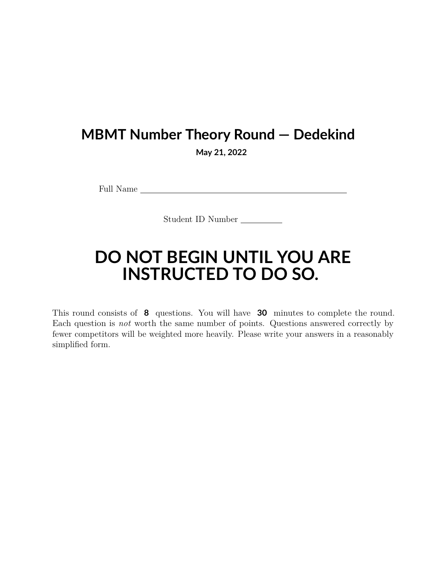## **MBMT Number Theory Round — Dedekind**

**May 21, 2022**

Full Name

Student ID Number

## **DO NOT BEGIN UNTIL YOU ARE INSTRUCTED TO DO SO.**

This round consists of **8** questions. You will have **30** minutes to complete the round. Each question is *not* worth the same number of points. Questions answered correctly by fewer competitors will be weighted more heavily. Please write your answers in a reasonably simplified form.